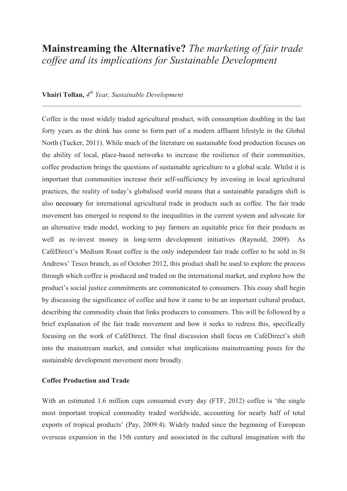# **Mainstreaming the Alternative?** *The marketing of fair trade coffee and its implications for Sustainable Development*

## **Vhairi Tollan,** *4th Year, Sustainable Development*

Coffee is the most widely traded agricultural product, with consumption doubling in the last forty years as the drink has come to form part of a modern affluent lifestyle in the Global North (Tucker, 2011). While much of the literature on sustainable food production focuses on the ability of local, place-based networks to increase the resilience of their communities, coffee production brings the questions of sustainable agriculture to a global scale. Whilst it is important that communities increase their self-sufficiency by investing in local agricultural practices, the reality of today's globalised world means that a sustainable paradigm shift is also necessary for international agricultural trade in products such as coffee. The fair trade movement has emerged to respond to the inequalities in the current system and advocate for an alternative trade model, working to pay farmers an equitable price for their products as well as re-invest money in long-term development initiatives (Raynold, 2009). As CaféDirect's Medium Roast coffee is the only independent fair trade coffee to be sold in St Andrews' Tesco branch, as of October 2012, this product shall be used to explore the process through which coffee is produced and traded on the international market, and explore how the product's social justice commitments are communicated to consumers. This essay shall begin by discussing the significance of coffee and how it came to be an important cultural product, describing the commodity chain that links producers to consumers. This will be followed by a brief explanation of the fair trade movement and how it seeks to redress this, specifically focusing on the work of CaféDirect. The final discussion shall focus on CaféDirect's shift into the mainstream market, and consider what implications mainstreaming poses for the sustainable development movement more broadly.

### **Coffee Production and Trade**

With an estimated 1.6 million cups consumed every day (FTF, 2012) coffee is 'the single most important tropical commodity traded worldwide, accounting for nearly half of total exports of tropical products' (Pay, 2009:4). Widely traded since the beginning of European overseas expansion in the 15th century and associated in the cultural imagination with the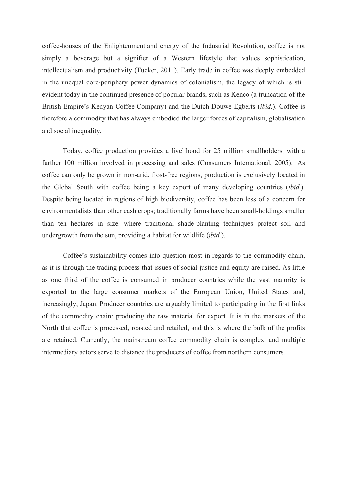coffee-houses of the Enlightenment and energy of the Industrial Revolution, coffee is not simply a beverage but a signifier of a Western lifestyle that values sophistication, intellectualism and productivity (Tucker, 2011). Early trade in coffee was deeply embedded in the unequal core-periphery power dynamics of colonialism, the legacy of which is still evident today in the continued presence of popular brands, such as Kenco (a truncation of the British Empire's Kenyan Coffee Company) and the Dutch Douwe Egberts (*ibid.*). Coffee is therefore a commodity that has always embodied the larger forces of capitalism, globalisation and social inequality.

Today, coffee production provides a livelihood for 25 million smallholders, with a further 100 million involved in processing and sales (Consumers International, 2005). As coffee can only be grown in non-arid, frost-free regions, production is exclusively located in the Global South with coffee being a key export of many developing countries (*ibid.*). Despite being located in regions of high biodiversity, coffee has been less of a concern for environmentalists than other cash crops; traditionally farms have been small-holdings smaller than ten hectares in size, where traditional shade-planting techniques protect soil and undergrowth from the sun, providing a habitat for wildlife (*ibid.*).

Coffee's sustainability comes into question most in regards to the commodity chain, as it is through the trading process that issues of social justice and equity are raised. As little as one third of the coffee is consumed in producer countries while the vast majority is exported to the large consumer markets of the European Union, United States and, increasingly, Japan. Producer countries are arguably limited to participating in the first links of the commodity chain: producing the raw material for export. It is in the markets of the North that coffee is processed, roasted and retailed, and this is where the bulk of the profits are retained. Currently, the mainstream coffee commodity chain is complex, and multiple intermediary actors serve to distance the producers of coffee from northern consumers.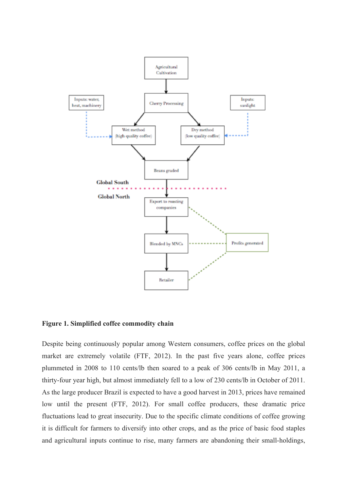

**Figure 1. Simplified coffee commodity chain**

Despite being continuously popular among Western consumers, coffee prices on the global market are extremely volatile (FTF, 2012). In the past five years alone, coffee prices plummeted in 2008 to 110 cents/lb then soared to a peak of 306 cents/lb in May 2011, a thirty-four year high, but almost immediately fell to a low of 230 cents/lb in October of 2011. As the large producer Brazil is expected to have a good harvest in 2013, prices have remained low until the present (FTF, 2012). For small coffee producers, these dramatic price fluctuations lead to great insecurity. Due to the specific climate conditions of coffee growing it is difficult for farmers to diversify into other crops, and as the price of basic food staples and agricultural inputs continue to rise, many farmers are abandoning their small-holdings,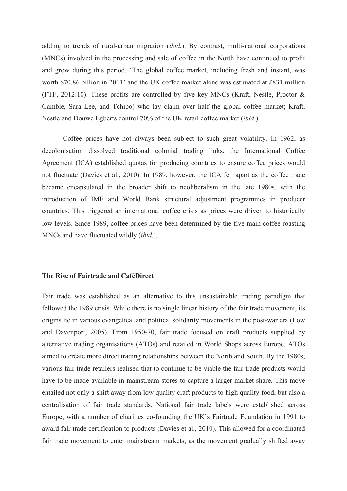adding to trends of rural-urban migration (*ibid.*). By contrast, multi-national corporations (MNCs) involved in the processing and sale of coffee in the North have continued to profit and grow during this period. 'The global coffee market, including fresh and instant, was worth \$70.86 billion in 2011' and the UK coffee market alone was estimated at £831 million (FTF, 2012:10). These profits are controlled by five key MNCs (Kraft, Nestle, Proctor & Gamble, Sara Lee, and Tchibo) who lay claim over half the global coffee market; Kraft, Nestle and Douwe Egberts control 70% of the UK retail coffee market (*ibid.*).

Coffee prices have not always been subject to such great volatility. In 1962, as decolonisation dissolved traditional colonial trading links, the International Coffee Agreement (ICA) established quotas for producing countries to ensure coffee prices would not fluctuate (Davies et al., 2010). In 1989, however, the ICA fell apart as the coffee trade became encapsulated in the broader shift to neoliberalism in the late 1980s, with the introduction of IMF and World Bank structural adjustment programmes in producer countries. This triggered an international coffee crisis as prices were driven to historically low levels. Since 1989, coffee prices have been determined by the five main coffee roasting MNCs and have fluctuated wildly (*ibid.*).

#### **The Rise of Fairtrade and CaféDirect**

Fair trade was established as an alternative to this unsustainable trading paradigm that followed the 1989 crisis. While there is no single linear history of the fair trade movement, its origins lie in various evangelical and political solidarity movements in the post-war era (Low and Davenport, 2005). From 1950-70, fair trade focused on craft products supplied by alternative trading organisations (ATOs) and retailed in World Shops across Europe. ATOs aimed to create more direct trading relationships between the North and South. By the 1980s, various fair trade retailers realised that to continue to be viable the fair trade products would have to be made available in mainstream stores to capture a larger market share. This move entailed not only a shift away from low quality craft products to high quality food, but also a centralisation of fair trade standards. National fair trade labels were established across Europe, with a number of charities co-founding the UK's Fairtrade Foundation in 1991 to award fair trade certification to products (Davies et al., 2010). This allowed for a coordinated fair trade movement to enter mainstream markets, as the movement gradually shifted away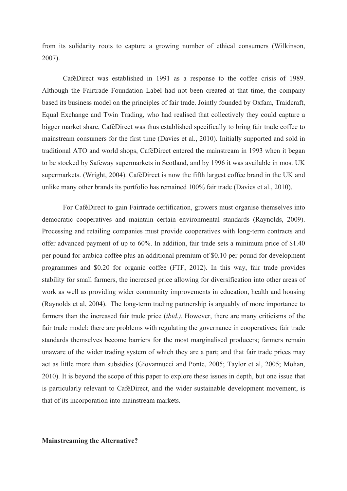from its solidarity roots to capture a growing number of ethical consumers (Wilkinson, 2007).

CaféDirect was established in 1991 as a response to the coffee crisis of 1989. Although the Fairtrade Foundation Label had not been created at that time, the company based its business model on the principles of fair trade. Jointly founded by Oxfam, Traidcraft, Equal Exchange and Twin Trading, who had realised that collectively they could capture a bigger market share, CaféDirect was thus established specifically to bring fair trade coffee to mainstream consumers for the first time (Davies et al., 2010). Initially supported and sold in traditional ATO and world shops, CaféDirect entered the mainstream in 1993 when it began to be stocked by Safeway supermarkets in Scotland, and by 1996 it was available in most UK supermarkets. (Wright, 2004). CaféDirect is now the fifth largest coffee brand in the UK and unlike many other brands its portfolio has remained 100% fair trade (Davies et al., 2010).

For CaféDirect to gain Fairtrade certification, growers must organise themselves into democratic cooperatives and maintain certain environmental standards (Raynolds, 2009). Processing and retailing companies must provide cooperatives with long-term contracts and offer advanced payment of up to 60%. In addition, fair trade sets a minimum price of \$1.40 per pound for arabica coffee plus an additional premium of \$0.10 per pound for development programmes and \$0.20 for organic coffee (FTF, 2012). In this way, fair trade provides stability for small farmers, the increased price allowing for diversification into other areas of work as well as providing wider community improvements in education, health and housing (Raynolds et al, 2004). The long-term trading partnership is arguably of more importance to farmers than the increased fair trade price (*ibid.).* However, there are many criticisms of the fair trade model: there are problems with regulating the governance in cooperatives; fair trade standards themselves become barriers for the most marginalised producers; farmers remain unaware of the wider trading system of which they are a part; and that fair trade prices may act as little more than subsidies (Giovannucci and Ponte, 2005; Taylor et al, 2005; Mohan, 2010). It is beyond the scope of this paper to explore these issues in depth, but one issue that is particularly relevant to CaféDirect, and the wider sustainable development movement, is that of its incorporation into mainstream markets.

**Mainstreaming the Alternative?**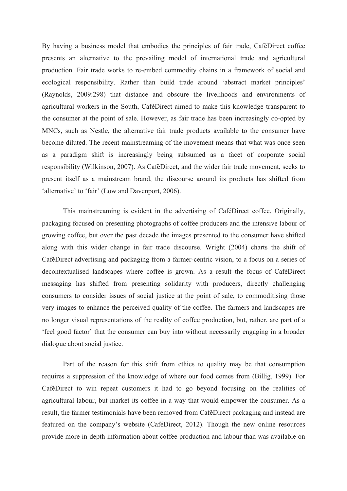By having a business model that embodies the principles of fair trade, CaféDirect coffee presents an alternative to the prevailing model of international trade and agricultural production. Fair trade works to re-embed commodity chains in a framework of social and ecological responsibility. Rather than build trade around 'abstract market principles' (Raynolds, 2009:298) that distance and obscure the livelihoods and environments of agricultural workers in the South, CaféDirect aimed to make this knowledge transparent to the consumer at the point of sale. However, as fair trade has been increasingly co-opted by MNCs, such as Nestle, the alternative fair trade products available to the consumer have become diluted. The recent mainstreaming of the movement means that what was once seen as a paradigm shift is increasingly being subsumed as a facet of corporate social responsibility (Wilkinson, 2007). As CaféDirect, and the wider fair trade movement, seeks to present itself as a mainstream brand, the discourse around its products has shifted from 'alternative' to 'fair' (Low and Davenport, 2006).

This mainstreaming is evident in the advertising of CaféDirect coffee. Originally, packaging focused on presenting photographs of coffee producers and the intensive labour of growing coffee, but over the past decade the images presented to the consumer have shifted along with this wider change in fair trade discourse. Wright (2004) charts the shift of CaféDirect advertising and packaging from a farmer-centric vision, to a focus on a series of decontextualised landscapes where coffee is grown. As a result the focus of CaféDirect messaging has shifted from presenting solidarity with producers, directly challenging consumers to consider issues of social justice at the point of sale, to commoditising those very images to enhance the perceived quality of the coffee. The farmers and landscapes are no longer visual representations of the reality of coffee production, but, rather, are part of a 'feel good factor' that the consumer can buy into without necessarily engaging in a broader dialogue about social justice.

Part of the reason for this shift from ethics to quality may be that consumption requires a suppression of the knowledge of where our food comes from (Billig, 1999). For CaféDirect to win repeat customers it had to go beyond focusing on the realities of agricultural labour, but market its coffee in a way that would empower the consumer. As a result, the farmer testimonials have been removed from CaféDirect packaging and instead are featured on the company's website (CaféDirect, 2012). Though the new online resources provide more in-depth information about coffee production and labour than was available on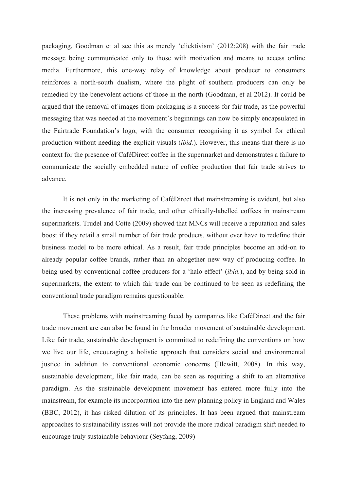packaging, Goodman et al see this as merely 'clicktivism' (2012:208) with the fair trade message being communicated only to those with motivation and means to access online media. Furthermore, this one-way relay of knowledge about producer to consumers reinforces a north-south dualism, where the plight of southern producers can only be remedied by the benevolent actions of those in the north (Goodman, et al 2012). It could be argued that the removal of images from packaging is a success for fair trade, as the powerful messaging that was needed at the movement's beginnings can now be simply encapsulated in the Fairtrade Foundation's logo, with the consumer recognising it as symbol for ethical production without needing the explicit visuals (*ibid.*). However, this means that there is no context for the presence of CaféDirect coffee in the supermarket and demonstrates a failure to communicate the socially embedded nature of coffee production that fair trade strives to advance.

It is not only in the marketing of CaféDirect that mainstreaming is evident, but also the increasing prevalence of fair trade, and other ethically-labelled coffees in mainstream supermarkets. Trudel and Cotte (2009) showed that MNCs will receive a reputation and sales boost if they retail a small number of fair trade products, without ever have to redefine their business model to be more ethical. As a result, fair trade principles become an add-on to already popular coffee brands, rather than an altogether new way of producing coffee. In being used by conventional coffee producers for a 'halo effect' (*ibid.*), and by being sold in supermarkets, the extent to which fair trade can be continued to be seen as redefining the conventional trade paradigm remains questionable.

These problems with mainstreaming faced by companies like CaféDirect and the fair trade movement are can also be found in the broader movement of sustainable development. Like fair trade, sustainable development is committed to redefining the conventions on how we live our life, encouraging a holistic approach that considers social and environmental justice in addition to conventional economic concerns (Blewitt, 2008). In this way, sustainable development, like fair trade, can be seen as requiring a shift to an alternative paradigm. As the sustainable development movement has entered more fully into the mainstream, for example its incorporation into the new planning policy in England and Wales (BBC, 2012), it has risked dilution of its principles. It has been argued that mainstream approaches to sustainability issues will not provide the more radical paradigm shift needed to encourage truly sustainable behaviour (Seyfang, 2009)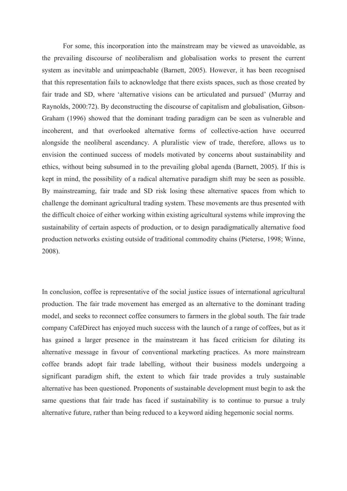For some, this incorporation into the mainstream may be viewed as unavoidable, as the prevailing discourse of neoliberalism and globalisation works to present the current system as inevitable and unimpeachable (Barnett, 2005). However, it has been recognised that this representation fails to acknowledge that there exists spaces, such as those created by fair trade and SD, where 'alternative visions can be articulated and pursued' (Murray and Raynolds, 2000:72). By deconstructing the discourse of capitalism and globalisation, Gibson-Graham (1996) showed that the dominant trading paradigm can be seen as vulnerable and incoherent, and that overlooked alternative forms of collective-action have occurred alongside the neoliberal ascendancy. A pluralistic view of trade, therefore, allows us to envision the continued success of models motivated by concerns about sustainability and ethics, without being subsumed in to the prevailing global agenda (Barnett, 2005). If this is kept in mind, the possibility of a radical alternative paradigm shift may be seen as possible. By mainstreaming, fair trade and SD risk losing these alternative spaces from which to challenge the dominant agricultural trading system. These movements are thus presented with the difficult choice of either working within existing agricultural systems while improving the sustainability of certain aspects of production, or to design paradigmatically alternative food production networks existing outside of traditional commodity chains (Pieterse, 1998; Winne, 2008).

In conclusion, coffee is representative of the social justice issues of international agricultural production. The fair trade movement has emerged as an alternative to the dominant trading model, and seeks to reconnect coffee consumers to farmers in the global south. The fair trade company CaféDirect has enjoyed much success with the launch of a range of coffees, but as it has gained a larger presence in the mainstream it has faced criticism for diluting its alternative message in favour of conventional marketing practices. As more mainstream coffee brands adopt fair trade labelling, without their business models undergoing a significant paradigm shift, the extent to which fair trade provides a truly sustainable alternative has been questioned. Proponents of sustainable development must begin to ask the same questions that fair trade has faced if sustainability is to continue to pursue a truly alternative future, rather than being reduced to a keyword aiding hegemonic social norms.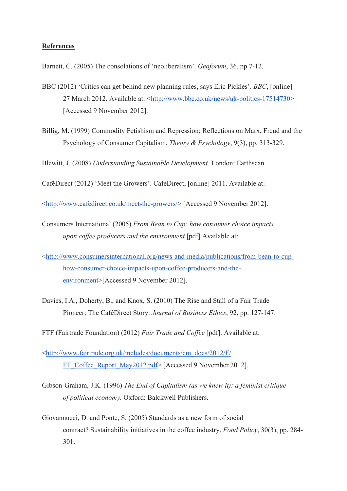#### **References**

Barnett, C. (2005) The consolations of 'neoliberalism'. *Geoforum*, 36, pp.7-12.

- BBC (2012) 'Critics can get behind new planning rules, says Eric Pickles'. *BBC*, [online] 27 March 2012. Available at: <http://www.bbc.co.uk/news/uk-politics-17514730> [Accessed 9 November 2012].
- Billig, M. (1999) Commodity Fetishism and Repression: Reflections on Marx, Freud and the Psychology of Consumer Capitalism. *Theory & Psychology*, 9(3), pp. 313-329.

Blewitt, J. (2008) *Understanding Sustainable Development.* London: Earthscan.

CaféDirect (2012) 'Meet the Growers'. CaféDirect, [online] 2011. Available at:

<http://www.cafedirect.co.uk/meet-the-growers/> [Accessed 9 November 2012].

- Consumers International (2005) *From Bean to Cup: how consumer choice impacts upon coffee producers and the environment* [pdf] Available at:
- <http://www.consumersinternational.org/news-and-media/publications/from-bean-to-cuphow-consumer-choice-impacts-upon-coffee-producers-and-theenvironment>[Accessed 9 November 2012].
- Davies, I.A., Doherty, B., and Knox, S. (2010) The Rise and Stall of a Fair Trade Pioneer: The CaféDirect Story. *Journal of Business Ethics*, 92, pp. 127-147.

FTF (Fairtrade Foundation) (2012) *Fair Trade and Coffee* [pdf]. Available at:

- <http://www.fairtrade.org.uk/includes/documents/cm\_docs/2012/F/ FT\_Coffee\_Report\_May2012.pdf> [Accessed 9 November 2012].
- Gibson-Graham, J.K. (1996) *The End of Capitalism (as we knew it): a feminist critique of political economy.* Oxford: Balckwell Publishers.
- Giovannucci, D. and Ponte, S. (2005) Standards as a new form of social contract? Sustainability initiatives in the coffee industry. *Food Policy*, 30(3), pp. 284- 301.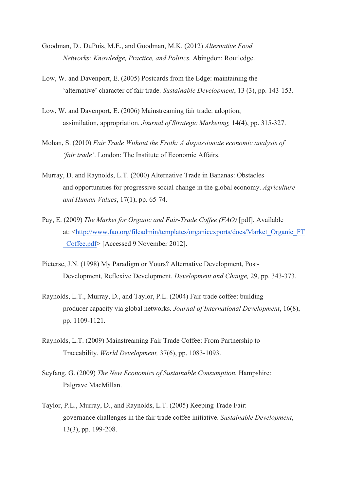- Goodman, D., DuPuis, M.E., and Goodman, M.K. (2012) *Alternative Food Networks: Knowledge, Practice, and Politics.* Abingdon: Routledge.
- Low, W. and Davenport, E. (2005) Postcards from the Edge: maintaining the 'alternative' character of fair trade. *Sustainable Development*, 13 (3), pp. 143-153.
- Low, W. and Davenport, E. (2006) Mainstreaming fair trade: adoption, assimilation, appropriation. *Journal of Strategic Marketing,* 14(4), pp. 315-327.
- Mohan, S. (2010) *Fair Trade Without the Froth: A dispassionate economic analysis of 'fair trade'*. London: The Institute of Economic Affairs.
- Murray, D. and Raynolds, L.T. (2000) Alternative Trade in Bananas: Obstacles and opportunities for progressive social change in the global economy. *Agriculture and Human Values*, 17(1), pp. 65-74.
- Pay, E. (2009) *The Market for Organic and Fair-Trade Coffee (FAO)* [pdf]. Available at: <http://www.fao.org/fileadmin/templates/organicexports/docs/Market\_Organic\_FT \_Coffee.pdf> [Accessed 9 November 2012].
- Pieterse, J.N. (1998) My Paradigm or Yours? Alternative Development, Post-Development, Reflexive Development. *Development and Change,* 29, pp. 343-373.
- Raynolds, L.T., Murray, D., and Taylor, P.L. (2004) Fair trade coffee: building producer capacity via global networks. *Journal of International Development*, 16(8), pp. 1109-1121.
- Raynolds, L.T. (2009) Mainstreaming Fair Trade Coffee: From Partnership to Traceability. *World Development,* 37(6), pp. 1083-1093.
- Seyfang, G. (2009) *The New Economics of Sustainable Consumption.* Hampshire: Palgrave MacMillan.
- Taylor, P.L., Murray, D., and Raynolds, L.T. (2005) Keeping Trade Fair: governance challenges in the fair trade coffee initiative. *Sustainable Development*, 13(3), pp. 199-208.